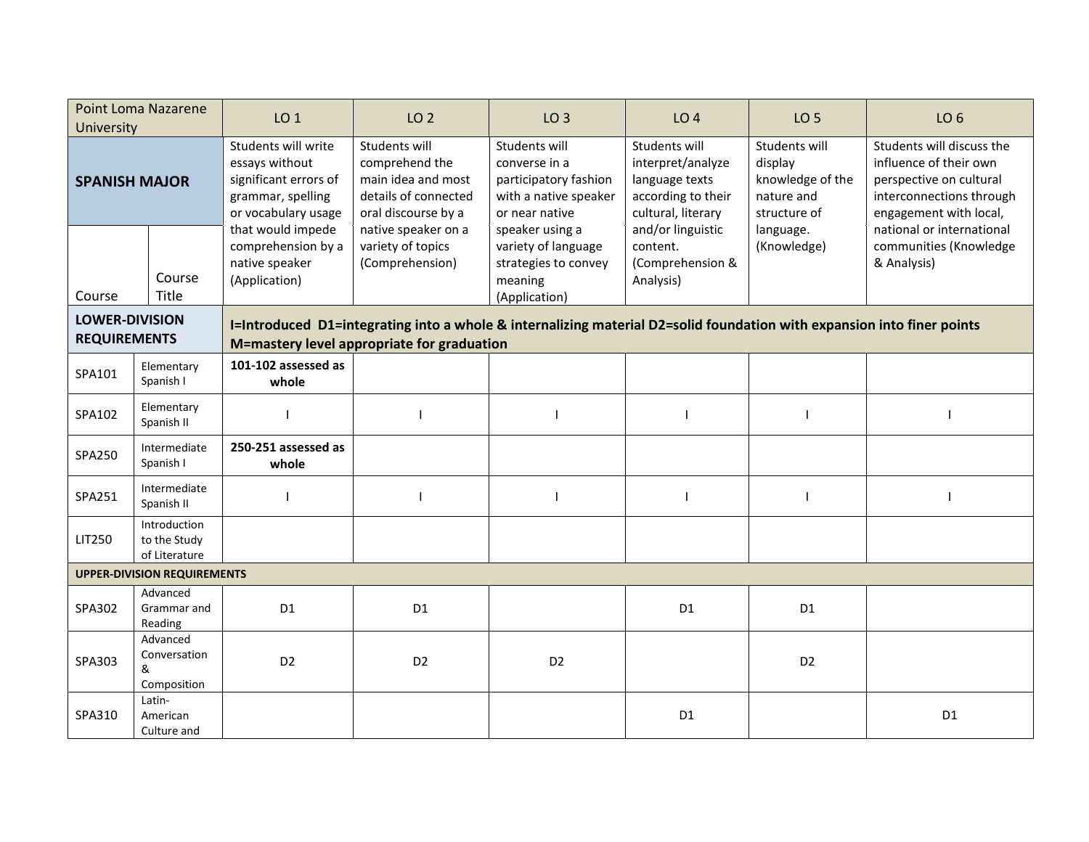| <b>Point Loma Nazarene</b><br>University                                                                                                                                                                             |                                               | LO <sub>1</sub>                                                                                            | LO <sub>2</sub>                                                                                      | LO <sub>3</sub>                                                                                    | LO <sub>4</sub>                                                                                  | LO <sub>5</sub>                                                            | LO <sub>6</sub>                                                                                                                      |  |  |  |
|----------------------------------------------------------------------------------------------------------------------------------------------------------------------------------------------------------------------|-----------------------------------------------|------------------------------------------------------------------------------------------------------------|------------------------------------------------------------------------------------------------------|----------------------------------------------------------------------------------------------------|--------------------------------------------------------------------------------------------------|----------------------------------------------------------------------------|--------------------------------------------------------------------------------------------------------------------------------------|--|--|--|
| <b>SPANISH MAJOR</b>                                                                                                                                                                                                 |                                               | Students will write<br>essays without<br>significant errors of<br>grammar, spelling<br>or vocabulary usage | Students will<br>comprehend the<br>main idea and most<br>details of connected<br>oral discourse by a | Students will<br>converse in a<br>participatory fashion<br>with a native speaker<br>or near native | Students will<br>interpret/analyze<br>language texts<br>according to their<br>cultural, literary | Students will<br>display<br>knowledge of the<br>nature and<br>structure of | Students will discuss the<br>influence of their own<br>perspective on cultural<br>interconnections through<br>engagement with local, |  |  |  |
| Course                                                                                                                                                                                                               | Course<br>Title                               | that would impede<br>comprehension by a<br>native speaker<br>(Application)                                 | native speaker on a<br>variety of topics<br>(Comprehension)                                          | speaker using a<br>variety of language<br>strategies to convey<br>meaning<br>(Application)         | and/or linguistic<br>content.<br>(Comprehension &<br>Analysis)                                   | language.<br>(Knowledge)                                                   | national or international<br>communities (Knowledge<br>& Analysis)                                                                   |  |  |  |
| <b>LOWER-DIVISION</b><br>I=Introduced D1=integrating into a whole & internalizing material D2=solid foundation with expansion into finer points<br><b>REQUIREMENTS</b><br>M=mastery level appropriate for graduation |                                               |                                                                                                            |                                                                                                      |                                                                                                    |                                                                                                  |                                                                            |                                                                                                                                      |  |  |  |
| SPA101                                                                                                                                                                                                               | Elementary<br>Spanish I                       | 101-102 assessed as<br>whole                                                                               |                                                                                                      |                                                                                                    |                                                                                                  |                                                                            |                                                                                                                                      |  |  |  |
| SPA102                                                                                                                                                                                                               | Elementary<br>Spanish II                      |                                                                                                            |                                                                                                      |                                                                                                    |                                                                                                  |                                                                            |                                                                                                                                      |  |  |  |
| SPA250                                                                                                                                                                                                               | Intermediate<br>Spanish I                     | 250-251 assessed as<br>whole                                                                               |                                                                                                      |                                                                                                    |                                                                                                  |                                                                            |                                                                                                                                      |  |  |  |
| SPA251                                                                                                                                                                                                               | Intermediate<br>Spanish II                    |                                                                                                            |                                                                                                      |                                                                                                    |                                                                                                  |                                                                            |                                                                                                                                      |  |  |  |
| LIT250                                                                                                                                                                                                               | Introduction<br>to the Study<br>of Literature |                                                                                                            |                                                                                                      |                                                                                                    |                                                                                                  |                                                                            |                                                                                                                                      |  |  |  |
| <b>UPPER-DIVISION REQUIREMENTS</b>                                                                                                                                                                                   |                                               |                                                                                                            |                                                                                                      |                                                                                                    |                                                                                                  |                                                                            |                                                                                                                                      |  |  |  |
| SPA302                                                                                                                                                                                                               | Advanced<br>Grammar and<br>Reading            | D <sub>1</sub>                                                                                             | D <sub>1</sub>                                                                                       |                                                                                                    | D <sub>1</sub>                                                                                   | D <sub>1</sub>                                                             |                                                                                                                                      |  |  |  |
| SPA303                                                                                                                                                                                                               | Advanced<br>Conversation<br>&<br>Composition  | D <sub>2</sub>                                                                                             | D <sub>2</sub>                                                                                       | D <sub>2</sub>                                                                                     |                                                                                                  | D <sub>2</sub>                                                             |                                                                                                                                      |  |  |  |
| SPA310                                                                                                                                                                                                               | Latin-<br>American<br>Culture and             |                                                                                                            |                                                                                                      |                                                                                                    | D <sub>1</sub>                                                                                   |                                                                            | D <sub>1</sub>                                                                                                                       |  |  |  |